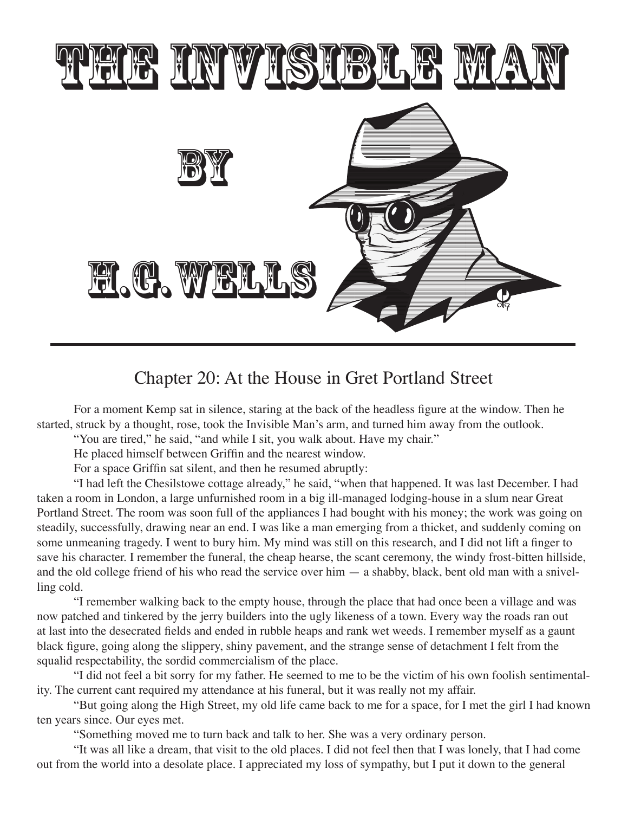

## Chapter 20: At the House in Gret Portland Street

 For a moment Kemp sat in silence, staring at the back of the headless figure at the window. Then he started, struck by a thought, rose, took the Invisible Man's arm, and turned him away from the outlook.

"You are tired," he said, "and while I sit, you walk about. Have my chair."

 He placed himself between Griffin and the nearest window.

 For a space Griffin sat silent, and then he resumed abruptly:

 "I had left the Chesilstowe cottage already," he said, "when that happened. It was last December. I had taken a room in London, a large unfurnished room in a big ill-managed lodging-house in a slum near Great Portland Street. The room was soon full of the appliances I had bought with his money; the work was going on steadily, successfully, drawing near an end. I was like a man emerging from a thicket, and suddenly coming on some unmeaning tragedy. I went to bury him. My mind was still on this research, and I did not lift a finger to save his character. I remember the funeral, the cheap hearse, the scant ceremony, the windy frost-bitten hillside, and the old college friend of his who read the service over him — a shabby, black, bent old man with a snivelling cold.

 "I remember walking back to the empty house, through the place that had once been a village and was now patched and tinkered by the jerry builders into the ugly likeness of a town. Every way the roads ran out at last into the desecrated fields and ended in rubble heaps and rank wet weeds. I remember myself as a gaunt black figure, going along the slippery, shiny pavement, and the strange sense of detachment I felt from the squalid respectability, the sordid commercialism of the place.

 "I did not feel a bit sorry for my father. He seemed to me to be the victim of his own foolish sentimentality. The current cant required my attendance at his funeral, but it was really not my affair.

 "But going along the High Street, my old life came back to me for a space, for I met the girl I had known ten years since. Our eyes met.

 "Something moved me to turn back and talk to her. She was a very ordinary person.

 "It was all like a dream, that visit to the old places. I did not feel then that I was lonely, that I had come out from the world into a desolate place. I appreciated my loss of sympathy, but I put it down to the general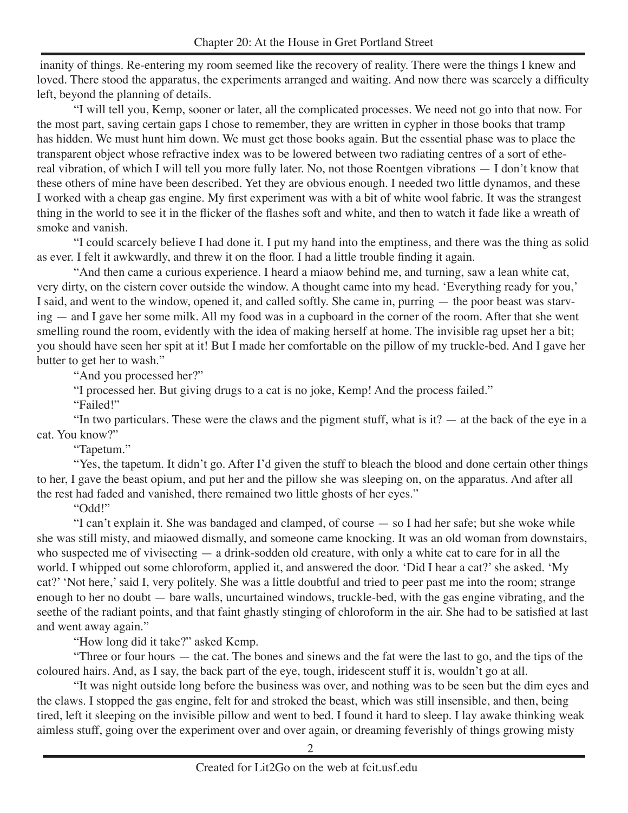inanity of things. Re-entering my room seemed like the recovery of reality. There were the things I knew and loved. There stood the apparatus, the experiments arranged and waiting. And now there was scarcely a difficulty left, beyond the planning of details.

 "I will tell you, Kemp, sooner or later, all the complicated processes. We need not go into that now. For the most part, saving certain gaps I chose to remember, they are written in cypher in those books that tramp has hidden. We must hunt him down. We must get those books again. But the essential phase was to place the transparent object whose refractive index was to be lowered between two radiating centres of a sort of ethereal vibration, of which I will tell you more fully later. No, not those Roentgen vibrations — I don't know that these others of mine have been described. Yet they are obvious enough. I needed two little dynamos, and these I worked with a cheap gas engine. My first experiment was with a bit of white wool fabric. It was the strangest thing in the world to see it in the flicker of the flashes soft and white, and then to watch it fade like a wreath of smoke and vanish.

 "I could scarcely believe I had done it. I put my hand into the emptiness, and there was the thing as solid as ever. I felt it awkwardly, and threw it on the floor. I had a little trouble finding it again.

 "And then came a curious experience. I heard a miaow behind me, and turning, saw a lean white cat, very dirty, on the cistern cover outside the window. A thought came into my head. 'Everything ready for you,' I said, and went to the window, opened it, and called softly. She came in, purring — the poor beast was starving — and I gave her some milk. All my food was in a cupboard in the corner of the room. After that she went smelling round the room, evidently with the idea of making herself at home. The invisible rag upset her a bit; you should have seen her spit at it! But I made her comfortable on the pillow of my truckle-bed. And I gave her butter to get her to wash."

"And you processed her?"

 "I processed her. But giving drugs to a cat is no joke, Kemp! And the process failed."

"Failed!"

"In two particulars. These were the claws and the pigment stuff, what is it?  $-$  at the back of the eye in a cat. You know?"

 "Tapetum."

 "Yes, the tapetum. It didn't go. After I'd given the stuff to bleach the blood and done certain other things to her, I gave the beast opium, and put her and the pillow she was sleeping on, on the apparatus. And after all the rest had faded and vanished, there remained two little ghosts of her eyes."

 "Odd!"

 "I can't explain it. She was bandaged and clamped, of course — so I had her safe; but she woke while she was still misty, and miaowed dismally, and someone came knocking. It was an old woman from downstairs, who suspected me of vivisecting — a drink-sodden old creature, with only a white cat to care for in all the world. I whipped out some chloroform, applied it, and answered the door. 'Did I hear a cat?' she asked. 'My cat?' 'Not here,'said I, very politely. She was a little doubtful and tried to peer past me into the room; strange enough to her no doubt — bare walls, uncurtained windows, truckle-bed, with the gas engine vibrating, and the seethe of the radiant points, and that faint ghastly stinging of chloroform in the air. She had to be satisfied at last and went away again."

 "How long did it take?" asked Kemp.

 "Three or four hours — the cat. The bones and sinews and the fat were the last to go, and the tips of the coloured hairs. And, as I say, the back part of the eye, tough, iridescent stuff it is, wouldn't go at all.

 "It was night outside long before the business was over, and nothing was to be seen but the dim eyes and the claws. I stopped the gas engine, felt for and stroked the beast, which was still insensible, and then, being tired, left it sleeping on the invisible pillow and went to bed. I found it hard to sleep. I lay awake thinking weak aimless stuff, going over the experiment over and over again, or dreaming feverishly of things growing misty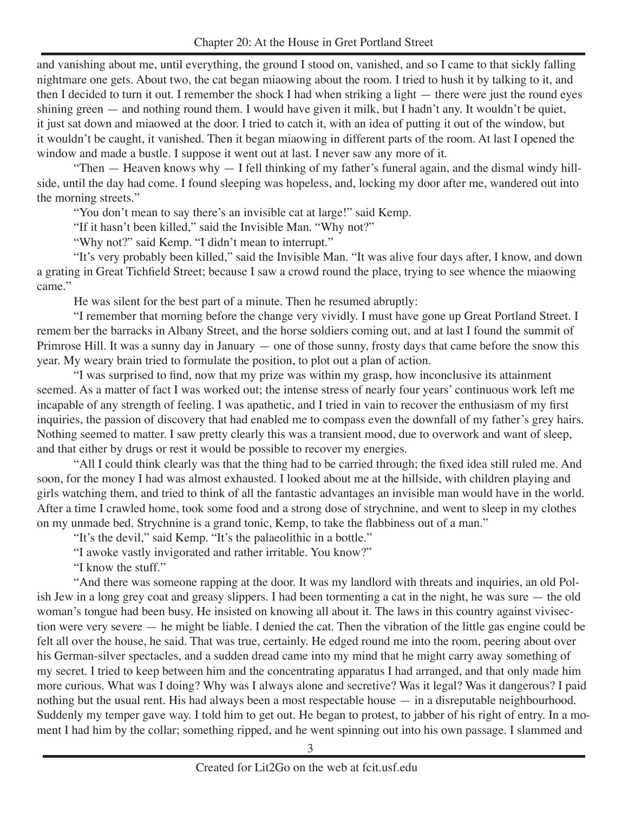and vanishing about me, until everything, the ground I stood on, vanished, and so I came to that sickly falling nightmare one gets. About two, the cat began miaowing about the room. I tried to hush it by talking to it, and then I decided to turn it out. I remember the shock I had when striking a light — there were just the round eyes shining green — and nothing round them. I would have given it milk, but I hadn't any. It wouldn't be quiet, it just sat down and miaowed at the door. I tried to catch it, with an idea of putting it out of the window, but it wouldn't be caught, it vanished. Then it began miaowing in different parts of the room. At last I opened the window and made a bustle. I suppose it went out at last. I never saw any more of it.

 "Then — Heaven knows why — I fell thinking of my father's funeral again, and the dismal windy hillside, until the day had come. I found sleeping was hopeless, and, locking my door after me, wandered out into the morning streets."

 "You don't mean to say there's an invisible cat at large!" said Kemp.

"If it hasn't been killed," said the Invisible Man. "Why not?"

"Why not?" said Kemp. "I didn't mean to interrupt."

 "It's very probably been killed," said the Invisible Man. "It was alive four days after, I know, and down a grating in Great Tichfield Street; because I saw a crowd round the place, trying to see whence the miaowing came."

 He was silent for the best part of a minute. Then he resumed abruptly:

 "I remember that morning before the change very vividly. I must have gone up Great Portland Street. I remem ber the barracks in Albany Street, and the horse soldiers coming out, and at last I found the summit of Primrose Hill. It was a sunny day in January — one of those sunny, frosty days that came before the snow this year. My weary brain tried to formulate the position, to plot out a plan of action.

 "I was surprised to find, now that my prize was within my grasp, how inconclusive its attainment seemed. As a matter of fact I was worked out; the intense stress of nearly four years' continuous work left me incapable of any strength of feeling. I was apathetic, and I tried in vain to recover the enthusiasm of my first inquiries, the passion of discovery that had enabled me to compass even the downfall of my father's grey hairs. Nothing seemed to matter. I saw pretty clearly this was a transient mood, due to overwork and want of sleep, and that either by drugs or rest it would be possible to recover my energies.

 "All I could think clearly was that the thing had to be carried through; the fixed idea still ruled me. And soon, for the money I had was almost exhausted. I looked about me at the hillside, with children playing and girls watching them, and tried to think of all the fantastic advantages an invisible man would have in the world. After a time I crawled home, took some food and a strong dose of strychnine, and went to sleep in my clothes on my unmade bed. Strychnine is a grand tonic, Kemp, to take the flabbiness out of a man."

 "It's the devil," said Kemp. "It's the palaeolithic in a bottle."

 "I awoke vastly invigorated and rather irritable. You know?"

 "I know the stuff."

 "And there was someone rapping at the door. It was my landlord with threats and inquiries, an old Polish Jew in a long grey coat and greasy slippers. I had been tormenting a cat in the night, he was sure — the old woman's tongue had been busy. He insisted on knowing all about it. The laws in this country against vivisection were very severe — he might be liable. I denied the cat. Then the vibration of the little gas engine could be felt all over the house, he said. That was true, certainly. He edged round me into the room, peering about over his German-silver spectacles, and a sudden dread came into my mind that he might carry away something of my secret. I tried to keep between him and the concentrating apparatus I had arranged, and that only made him more curious. What was I doing? Why was I always alone and secretive? Was it legal? Was it dangerous? I paid nothing but the usual rent. His had always been a most respectable house — in a disreputable neighbourhood. Suddenly my temper gave way. I told him to get out. He began to protest, to jabber of his right of entry. In a moment I had him by the collar; something ripped, and he went spinning out into his own passage. I slammed and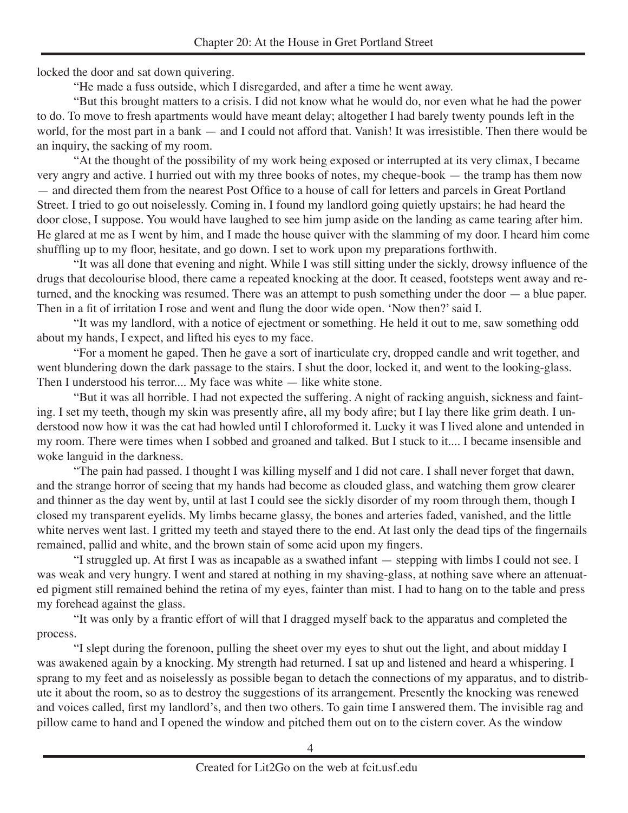locked the door and sat down quivering.

 "He made a fuss outside, which I disregarded, and after a time he went away.

 "But this brought matters to a crisis. I did not know what he would do, nor even what he had the power to do. To move to fresh apartments would have meant delay; altogether I had barely twenty pounds left in the world, for the most part in a bank — and I could not afford that. Vanish! It was irresistible. Then there would be an inquiry, the sacking of my room.

 "At the thought of the possibility of my work being exposed or interrupted at its very climax, I became very angry and active. I hurried out with my three books of notes, my cheque-book — the tramp has them now — and directed them from the nearest Post Office to a house of call for letters and parcels in Great Portland Street. I tried to go out noiselessly. Coming in, I found my landlord going quietly upstairs; he had heard the door close, I suppose. You would have laughed to see him jump aside on the landing as came tearing after him. He glared at me as I went by him, and I made the house quiver with the slamming of my door. I heard him come shuffling up to my floor, hesitate, and go down. I set to work upon my preparations forthwith.

 "It was all done that evening and night. While I was still sitting under the sickly, drowsy influence of the drugs that decolourise blood, there came a repeated knocking at the door. It ceased, footsteps went away and returned, and the knocking was resumed. There was an attempt to push something under the door — a blue paper. Then in a fit of irritation I rose and went and flung the door wide open. 'Now then?'said I.

 "It was my landlord, with a notice of ejectment or something. He held it out to me, saw something odd about my hands, I expect, and lifted his eyes to my face.

 "For a moment he gaped. Then he gave a sort of inarticulate cry, dropped candle and writ together, and went blundering down the dark passage to the stairs. I shut the door, locked it, and went to the looking-glass. Then I understood his terror.... My face was white — like white stone.

 "But it was all horrible. I had not expected the suffering. A night of racking anguish, sickness and fainting. I set my teeth, though my skin was presently afire, all my body afire; but I lay there like grim death. I understood now how it was the cat had howled until I chloroformed it. Lucky it was I lived alone and untended in my room. There were times when I sobbed and groaned and talked. But I stuck to it.... I became insensible and woke languid in the darkness.

 "The pain had passed. I thought I was killing myself and I did not care. I shall never forget that dawn, and the strange horror of seeing that my hands had become as clouded glass, and watching them grow clearer and thinner as the day went by, until at last I could see the sickly disorder of my room through them, though I closed my transparent eyelids. My limbs became glassy, the bones and arteries faded, vanished, and the little white nerves went last. I gritted my teeth and stayed there to the end. At last only the dead tips of the fingernails remained, pallid and white, and the brown stain of some acid upon my fingers.

 "I struggled up. At first I was as incapable as a swathed infant — stepping with limbs I could not see. I was weak and very hungry. I went and stared at nothing in my shaving-glass, at nothing save where an attenuated pigment still remained behind the retina of my eyes, fainter than mist. I had to hang on to the table and press my forehead against the glass.

 "It was only by a frantic effort of will that I dragged myself back to the apparatus and completed the process.

"I slept during the forenoon, pulling the sheet over my eyes to shut out the light, and about midday I was awakened again by a knocking. My strength had returned. I sat up and listened and heard a whispering. I sprang to my feet and as noiselessly as possible began to detach the connections of my apparatus, and to distribute it about the room, so as to destroy the suggestions of its arrangement. Presently the knocking was renewed and voices called, first my landlord's, and then two others. To gain time I answered them. The invisible rag and pillow came to hand and I opened the window and pitched them out on to the cistern cover. As the window